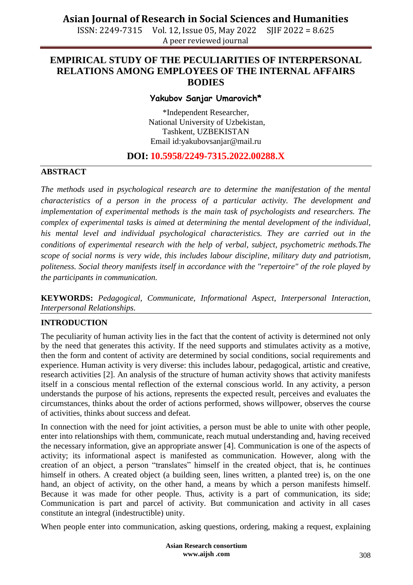ISSN: 2249-7315 Vol. 12, Issue 05, May 2022 SJIF 2022 = 8.625 A peer reviewed journal

### **EMPIRICAL STUDY OF THE PECULIARITIES OF INTERPERSONAL RELATIONS AMONG EMPLOYEES OF THE INTERNAL AFFAIRS BODIES**

#### **Yakubov Sanjar Umarovich\***

\*Independent Researcher, National University of Uzbekistan, Tashkent, UZBEKISTAN Email id:yakubovsanjar@mail.ru

### **DOI: 10.5958/2249-7315.2022.00288.X**

#### **ABSTRACT**

*The methods used in psychological research are to determine the manifestation of the mental characteristics of a person in the process of a particular activity. The development and implementation of experimental methods is the main task of psychologists and researchers. The complex of experimental tasks is aimed at determining the mental development of the individual, his mental level and individual psychological characteristics. They are carried out in the conditions of experimental research with the help of verbal, subject, psychometric methods.The scope of social norms is very wide, this includes labour discipline, military duty and patriotism, politeness. Social theory manifests itself in accordance with the "repertoire" of the role played by the participants in communication.*

**KEYWORDS:** *Pedagogical, Communicate, Informational Aspect, Interpersonal Interaction, Interpersonal Relationships.*

#### **INTRODUCTION**

The peculiarity of human activity lies in the fact that the content of activity is determined not only by the need that generates this activity. If the need supports and stimulates activity as a motive, then the form and content of activity are determined by social conditions, social requirements and experience. Human activity is very diverse: this includes labour, pedagogical, artistic and creative, research activities [2]. An analysis of the structure of human activity shows that activity manifests itself in a conscious mental reflection of the external conscious world. In any activity, a person understands the purpose of his actions, represents the expected result, perceives and evaluates the circumstances, thinks about the order of actions performed, shows willpower, observes the course of activities, thinks about success and defeat.

In connection with the need for joint activities, a person must be able to unite with other people, enter into relationships with them, communicate, reach mutual understanding and, having received the necessary information, give an appropriate answer [4]. Communication is one of the aspects of activity; its informational aspect is manifested as communication. However, along with the creation of an object, a person "translates" himself in the created object, that is, he continues himself in others. A created object (a building seen, lines written, a planted tree) is, on the one hand, an object of activity, on the other hand, a means by which a person manifests himself. Because it was made for other people. Thus, activity is a part of communication, its side; Communication is part and parcel of activity. But communication and activity in all cases constitute an integral (indestructible) unity.

When people enter into communication, asking questions, ordering, making a request, explaining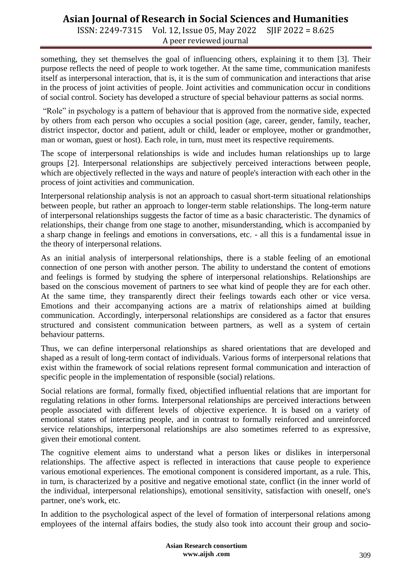# **Asian Journal of Research in Social Sciences and Humanities**

ISSN: 2249-7315 Vol. 12, Issue 05, May 2022 SJIF 2022 = 8.625 A peer reviewed journal

something, they set themselves the goal of influencing others, explaining it to them [3]. Their purpose reflects the need of people to work together. At the same time, communication manifests itself as interpersonal interaction, that is, it is the sum of communication and interactions that arise in the process of joint activities of people. Joint activities and communication occur in conditions of social control. Society has developed a structure of special behaviour patterns as social norms.

"Role" in psychology is a pattern of behaviour that is approved from the normative side, expected by others from each person who occupies a social position (age, career, gender, family, teacher, district inspector, doctor and patient, adult or child, leader or employee, mother or grandmother, man or woman, guest or host). Each role, in turn, must meet its respective requirements.

The scope of interpersonal relationships is wide and includes human relationships up to large groups [2]. Interpersonal relationships are subjectively perceived interactions between people, which are objectively reflected in the ways and nature of people's interaction with each other in the process of joint activities and communication.

Interpersonal relationship analysis is not an approach to casual short-term situational relationships between people, but rather an approach to longer-term stable relationships. The long-term nature of interpersonal relationships suggests the factor of time as a basic characteristic. The dynamics of relationships, their change from one stage to another, misunderstanding, which is accompanied by a sharp change in feelings and emotions in conversations, etc. - all this is a fundamental issue in the theory of interpersonal relations.

As an initial analysis of interpersonal relationships, there is a stable feeling of an emotional connection of one person with another person. The ability to understand the content of emotions and feelings is formed by studying the sphere of interpersonal relationships. Relationships are based on the conscious movement of partners to see what kind of people they are for each other. At the same time, they transparently direct their feelings towards each other or vice versa. Emotions and their accompanying actions are a matrix of relationships aimed at building communication. Accordingly, interpersonal relationships are considered as a factor that ensures structured and consistent communication between partners, as well as a system of certain behaviour patterns.

Thus, we can define interpersonal relationships as shared orientations that are developed and shaped as a result of long-term contact of individuals. Various forms of interpersonal relations that exist within the framework of social relations represent formal communication and interaction of specific people in the implementation of responsible (social) relations.

Social relations are formal, formally fixed, objectified influential relations that are important for regulating relations in other forms. Interpersonal relationships are perceived interactions between people associated with different levels of objective experience. It is based on a variety of emotional states of interacting people, and in contrast to formally reinforced and unreinforced service relationships, interpersonal relationships are also sometimes referred to as expressive, given their emotional content.

The cognitive element aims to understand what a person likes or dislikes in interpersonal relationships. The affective aspect is reflected in interactions that cause people to experience various emotional experiences. The emotional component is considered important, as a rule. This, in turn, is characterized by a positive and negative emotional state, conflict (in the inner world of the individual, interpersonal relationships), emotional sensitivity, satisfaction with oneself, one's partner, one's work, etc.

In addition to the psychological aspect of the level of formation of interpersonal relations among employees of the internal affairs bodies, the study also took into account their group and socio-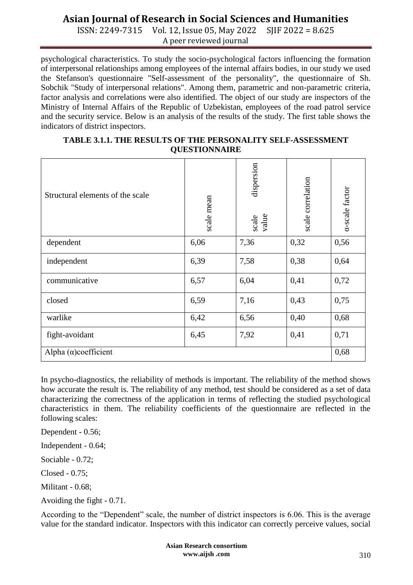# **Asian Journal of Research in Social Sciences and Humanities**

ISSN: 2249-7315 Vol. 12, Issue 05, May 2022 SJIF 2022 = 8.625 A peer reviewed journal

psychological characteristics. To study the socio-psychological factors influencing the formation of interpersonal relationships among employees of the internal affairs bodies, in our study we used the Stefanson's questionnaire "Self-assessment of the personality", the questionnaire of Sh. Sobchik "Study of interpersonal relations". Among them, parametric and non-parametric criteria, factor analysis and correlations were also identified. The object of our study are inspectors of the Ministry of Internal Affairs of the Republic of Uzbekistan, employees of the road patrol service and the security service. Below is an analysis of the results of the study. The first table shows the indicators of district inspectors.

| <b>TABLE 3.1.1. THE RESULTS OF THE PERSONALITY SELF-ASSESSMENT</b> |
|--------------------------------------------------------------------|
| <b>QUESTIONNAIRE</b>                                               |

| Structural elements of the scale | scale mean | dispersion<br>scale<br>value | scale correlation | a-scale factor |
|----------------------------------|------------|------------------------------|-------------------|----------------|
| dependent                        | 6,06       | 7,36                         | 0,32              | 0,56           |
| independent                      | 6,39       | 7,58                         | 0,38              | 0,64           |
| communicative                    | 6,57       | 6,04                         | 0,41              | 0,72           |
| closed                           | 6,59       | 7,16                         | 0,43              | 0,75           |
| warlike                          | 6,42       | 6,56                         | 0,40              | 0,68           |
| fight-avoidant                   | 6,45       | 7,92                         | 0,41              | 0,71           |
| Alpha $(\alpha)$ coefficient     |            |                              |                   | 0,68           |

In psycho-diagnostics, the reliability of methods is important. The reliability of the method shows how accurate the result is. The reliability of any method, test should be considered as a set of data characterizing the correctness of the application in terms of reflecting the studied psychological characteristics in them. The reliability coefficients of the questionnaire are reflected in the following scales:

Dependent - 0.56;

Independent - 0.64;

Sociable - 0.72;

Closed - 0.75;

Militant - 0.68;

Avoiding the fight - 0.71.

According to the "Dependent" scale, the number of district inspectors is 6.06. This is the average value for the standard indicator. Inspectors with this indicator can correctly perceive values, social